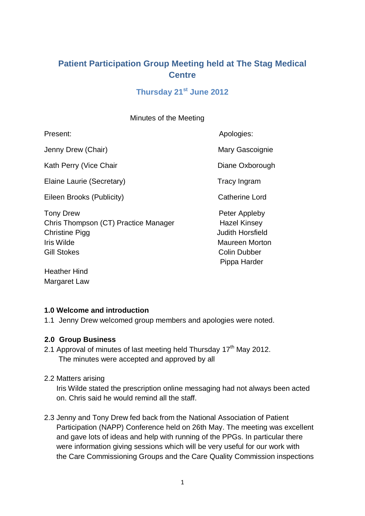# **Patient Participation Group Meeting held at The Stag Medical Centre**

# **Thursday 21st June 2012**

Minutes of the Meeting

Jenny Drew (Chair) Mary Gascoignie

Kath Perry (Vice Chair National Communication of Diane Oxborough

Elaine Laurie (Secretary) Tracy Ingram

Eileen Brooks (Publicity) Catherine Lord

Tony Drew **Peter Appleby** Chris Thompson (CT) Practice Manager Hazel Kinsey Christine Pigg **Judith Horsfield** Iris Wilde **Maureen Morton** Gill Stokes Colin Dubber

Present: Apologies: Apologies: Apologies: Apologies: Apologies: Apologies: Apologies: Apologies: Apologies: Apologies: Apologies: Apologies: Apologies: Apologies: Apologies: Apologies: Apologies: Apologies: Apologies: Apol

Pippa Harder

Heather Hind Margaret Law

# **1.0 Welcome and introduction**

1.1 Jenny Drew welcomed group members and apologies were noted.

# **2.0 Group Business**

- 2.1 Approval of minutes of last meeting held Thursday 17<sup>th</sup> May 2012. The minutes were accepted and approved by all
- 2.2 Matters arising

 Iris Wilde stated the prescription online messaging had not always been acted on. Chris said he would remind all the staff.

2.3 Jenny and Tony Drew fed back from the National Association of Patient Participation (NAPP) Conference held on 26th May. The meeting was excellent and gave lots of ideas and help with running of the PPGs. In particular there were information giving sessions which will be very useful for our work with the Care Commissioning Groups and the Care Quality Commission inspections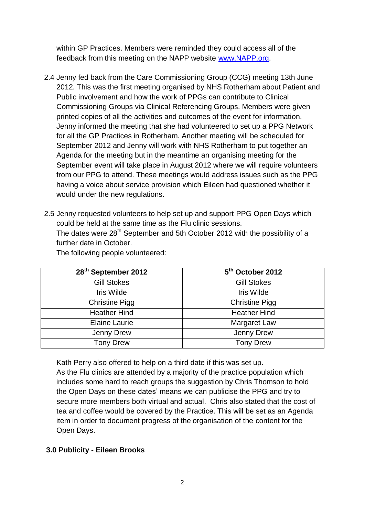within GP Practices. Members were reminded they could access all of the feedback from this meeting on the NAPP website [www.NAPP.org.](http://www.napp.org/)

- 2.4 Jenny fed back from the Care Commissioning Group (CCG) meeting 13th June 2012. This was the first meeting organised by NHS Rotherham about Patient and Public involvement and how the work of PPGs can contribute to Clinical Commissioning Groups via Clinical Referencing Groups. Members were given printed copies of all the activities and outcomes of the event for information. Jenny informed the meeting that she had volunteered to set up a PPG Network for all the GP Practices in Rotherham. Another meeting will be scheduled for September 2012 and Jenny will work with NHS Rotherham to put together an Agenda for the meeting but in the meantime an organising meeting for the September event will take place in August 2012 where we will require volunteers from our PPG to attend. These meetings would address issues such as the PPG having a voice about service provision which Eileen had questioned whether it would under the new regulations.
- 2.5 Jenny requested volunteers to help set up and support PPG Open Days which could be held at the same time as the Flu clinic sessions. The dates were  $28<sup>th</sup>$  September and 5th October 2012 with the possibility of a further date in October.

| 28 <sup>th</sup> September 2012 | 5 <sup>th</sup> October 2012 |
|---------------------------------|------------------------------|
| <b>Gill Stokes</b>              | <b>Gill Stokes</b>           |
| Iris Wilde                      | <b>Iris Wilde</b>            |
| <b>Christine Pigg</b>           | <b>Christine Pigg</b>        |
| <b>Heather Hind</b>             | <b>Heather Hind</b>          |
| <b>Elaine Laurie</b>            | Margaret Law                 |
| Jenny Drew                      | Jenny Drew                   |
| <b>Tony Drew</b>                | <b>Tony Drew</b>             |

The following people volunteered:

Kath Perry also offered to help on a third date if this was set up.

 As the Flu clinics are attended by a majority of the practice population which includes some hard to reach groups the suggestion by Chris Thomson to hold the Open Days on these dates' means we can publicise the PPG and try to secure more members both virtual and actual. Chris also stated that the cost of tea and coffee would be covered by the Practice. This will be set as an Agenda item in order to document progress of the organisation of the content for the Open Days.

### **3.0 Publicity - Eileen Brooks**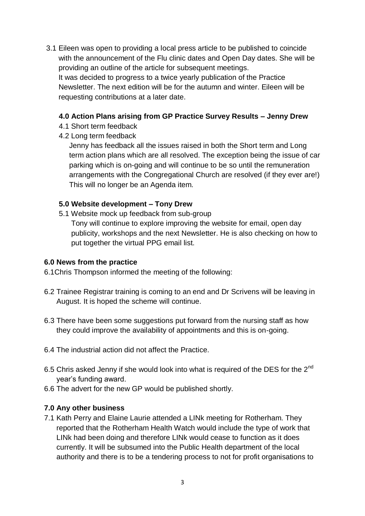3.1 Eileen was open to providing a local press article to be published to coincide with the announcement of the Flu clinic dates and Open Day dates. She will be providing an outline of the article for subsequent meetings. It was decided to progress to a twice yearly publication of the Practice Newsletter. The next edition will be for the autumn and winter. Eileen will be requesting contributions at a later date.

### **4.0 Action Plans arising from GP Practice Survey Results – Jenny Drew**

- 4.1 Short term feedback
- 4.2 Long term feedback

 Jenny has feedback all the issues raised in both the Short term and Long term action plans which are all resolved. The exception being the issue of car parking which is on-going and will continue to be so until the remuneration arrangements with the Congregational Church are resolved (if they ever are!) This will no longer be an Agenda item.

### **5.0 Website development – Tony Drew**

5.1 Website mock up feedback from sub-group

 Tony will continue to explore improving the website for email, open day publicity, workshops and the next Newsletter. He is also checking on how to put together the virtual PPG email list.

## **6.0 News from the practice**

6.1Chris Thompson informed the meeting of the following:

- 6.2 Trainee Registrar training is coming to an end and Dr Scrivens will be leaving in August. It is hoped the scheme will continue.
- 6.3 There have been some suggestions put forward from the nursing staff as how they could improve the availability of appointments and this is on-going.
- 6.4 The industrial action did not affect the Practice.
- 6.5 Chris asked Jenny if she would look into what is required of the DES for the 2<sup>nd</sup> year's funding award.
- 6.6 The advert for the new GP would be published shortly.

# **7.0 Any other business**

7.1 Kath Perry and Elaine Laurie attended a LINk meeting for Rotherham. They reported that the Rotherham Health Watch would include the type of work that LINk had been doing and therefore LINk would cease to function as it does currently. It will be subsumed into the Public Health department of the local authority and there is to be a tendering process to not for profit organisations to